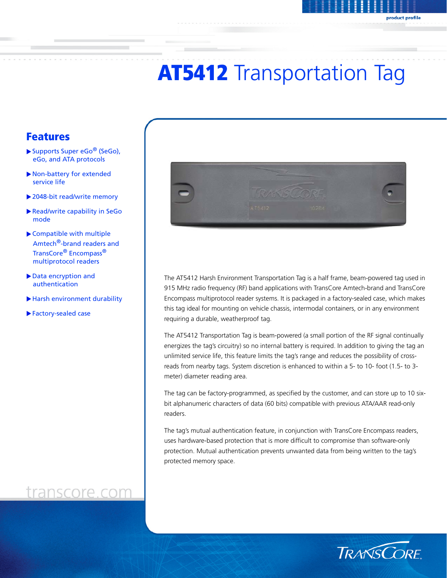# **AT5412** Transportation Tag

### Features

- $\blacktriangleright$  Supports Super eGo<sup>®</sup> (SeGo), eGo, and ATA protocols
- $\blacktriangleright$  Non-battery for extended service life
- $\blacktriangleright$  2048-bit read/write memory
- Read/write capability in SeGo mode
- $\blacktriangleright$  Compatible with multiple Amtech<sup>®</sup>-brand readers and TransCore® Encompass® multiprotocol readers
- Data encryption and authentication
- Harsh environment durability
- $\blacktriangleright$  Factory-sealed case

## transcore.com



The AT5412 Harsh Environment Transportation Tag is a half frame, beam-powered tag used in 915 MHz radio frequency (RF) band applications with TransCore Amtech-brand and TransCore Encompass multiprotocol reader systems. It is packaged in a factory-sealed case, which makes this tag ideal for mounting on vehicle chassis, intermodal containers, or in any environment requiring a durable, weatherproof tag.

The AT5412 Transportation Tag is beam-powered (a small portion of the RF signal continually energizes the tag's circuitry) so no internal battery is required. In addition to giving the tag an unlimited service life, this feature limits the tag's range and reduces the possibility of crossreads from nearby tags. System discretion is enhanced to within a 5- to 10- foot (1.5- to 3 meter) diameter reading area.

The tag can be factory-programmed, as specified by the customer, and can store up to 10 sixbit alphanumeric characters of data (60 bits) compatible with previous ATA/AAR read-only readers.

The tag's mutual authentication feature, in conjunction with TransCore Encompass readers, uses hardware-based protection that is more difficult to compromise than software-only protection. Mutual authentication prevents unwanted data from being written to the tag's protected memory space.